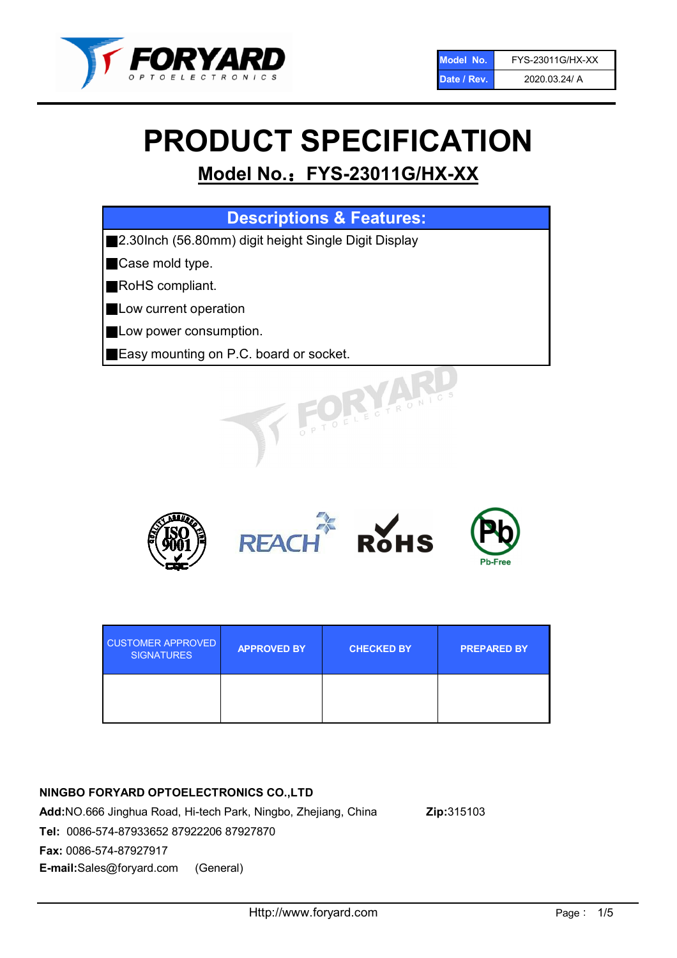

# PRODUCT SPECIFICATION

# Model No.: FYS-23011G/HX-XX

| <b>Descriptions &amp; Features:</b>                  |
|------------------------------------------------------|
| 2.30Inch (56.80mm) digit height Single Digit Display |
| Case mold type.                                      |
| RoHS compliant.                                      |
| Low current operation                                |
| Low power consumption.                               |
| Easy mounting on P.C. board or socket.               |
| OFLECTRONIC                                          |



| <b>CUSTOMER APPROVED</b><br><b>SIGNATURES</b> | <b>APPROVED BY</b> | <b>CHECKED BY</b> | <b>PREPARED BY</b> |
|-----------------------------------------------|--------------------|-------------------|--------------------|
|                                               |                    |                   |                    |

# NINGBO FORYARD OPTOELECTRONICS CO.,LTD

Add:NO.666 Jinghua Road, Hi-tech Park, Ningbo, Zhejiang, China Zip:315103 Tel: 0086-574-87933652 87922206 87927870 Fax: 0086-574-87927917 E-mail:Sales@foryard.com (General)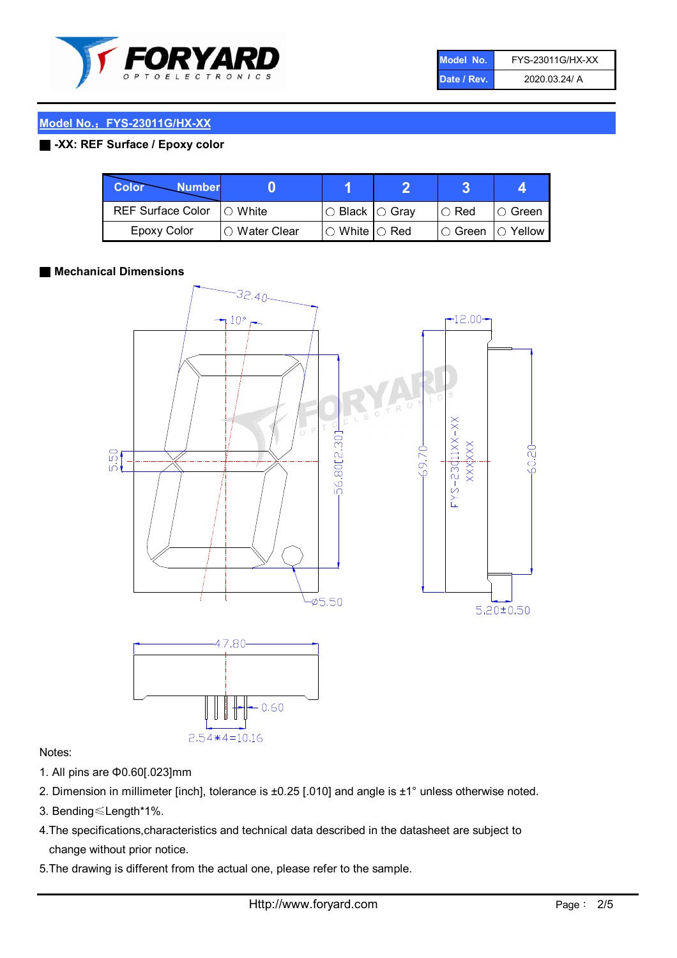

| Model No.   | FYS-23011G/HX-XX |
|-------------|------------------|
| Date / Rev. | 2020.03.24/ A    |

## Model No.: FYS-23011G/HX-XX

# ■ -XX: REF Surface / Epoxy color

| Color<br><b>Number</b>      |               |                           |               |            |
|-----------------------------|---------------|---------------------------|---------------|------------|
| REF Surface Color   O White |               | I○ Black  ○ Grav          | $\circ$ Red   | IO Green   |
| Epoxy Color                 | ○ Water Clear | $\circ$ White $\circ$ Red | $\circ$ Green | ( ) Yellow |

#### ■ Mechanical Dimensions



# Notes:

- 1. All pins are Φ0.60[.023]mm
- 2. Dimension in millimeter [inch], tolerance is ±0.25 [.010] and angle is ±1° unless otherwise noted.
- 3. Bending≤Length\*1%.
- 4.The specifications,characteristics and technical data described in the datasheet are subject to change without prior notice.
- 5.The drawing is different from the actual one, please refer to the sample.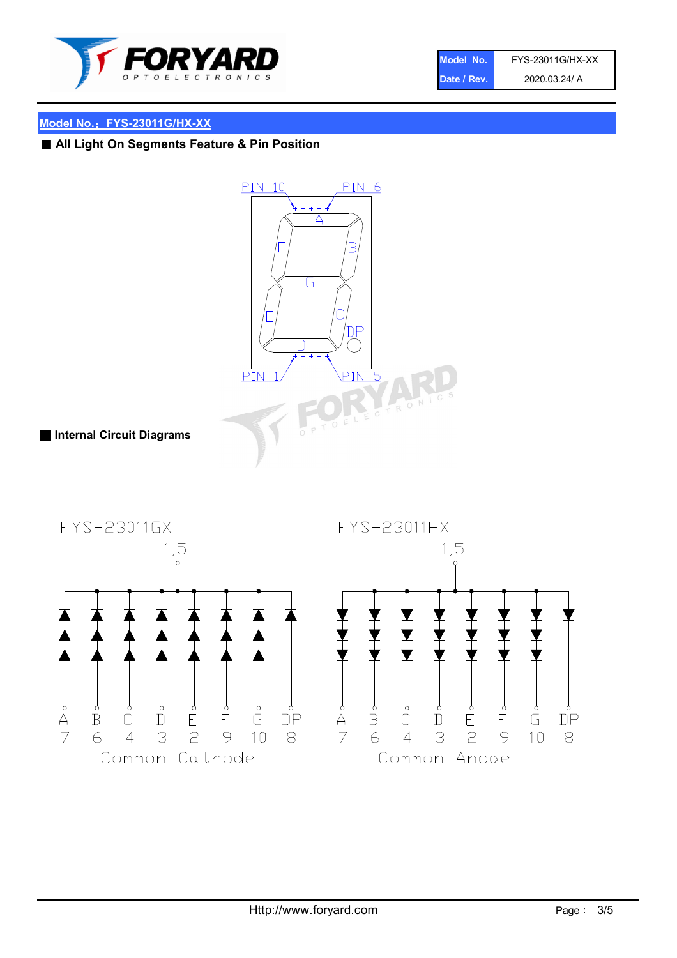

| Model No.   | FYS-23011G/HX-XX |
|-------------|------------------|
| Date / Rev. | 2020.03.24/ A    |

# Model No.: FYS-23011G/HX-XX

■ All Light On Segments Feature & Pin Position



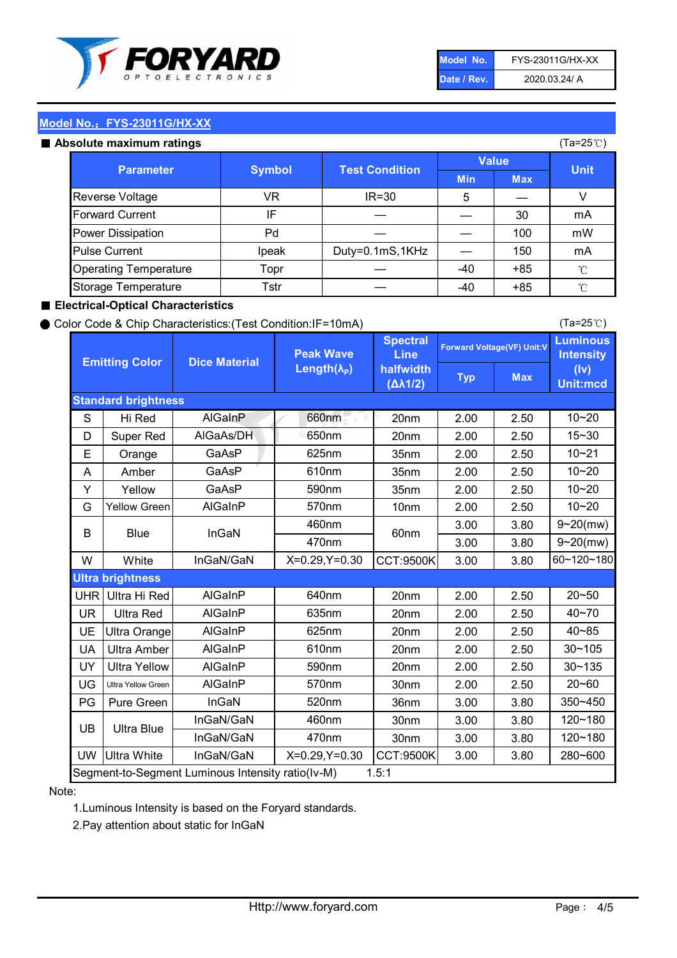

| Model No.   | FYS-23011G/HX-XX |
|-------------|------------------|
| Date / Rev. | 2020.03.24/ A    |

(Ta=25℃)

# Model No.: FYS-23011G/HX-XX

|  | Absolute maximum ratings |  |
|--|--------------------------|--|
|  |                          |  |
|  |                          |  |
|  |                          |  |

| <b>psolute maximum ratings</b> |               |                       |              |            | (Ta=25℃)     |
|--------------------------------|---------------|-----------------------|--------------|------------|--------------|
|                                |               |                       | <b>Value</b> |            |              |
| <b>Parameter</b>               | <b>Symbol</b> | <b>Test Condition</b> | <b>Min</b>   | <b>Max</b> | <b>Unit</b>  |
| Reverse Voltage                | VR            | $IR = 30$             | 5            |            | V            |
| <b>Forward Current</b>         | IF            |                       |              | 30         | mA           |
| Power Dissipation              | Pd            |                       |              | 100        | mW           |
| <b>Pulse Current</b>           | Ipeak         | Duty=0.1mS,1KHz       |              | 150        | mA           |
| <b>Operating Temperature</b>   | Topr          |                       | $-40$        | $+85$      | $^{\circ}$ C |
| Storage Temperature            | Tstr          |                       | -40          | $+85$      | $^{\circ}$ C |

#### ■ Electrical-Optical Characteristics

#### ● Color Code & Chip Characteristics:(Test Condition:IF=10mA)

Typ Max S | Hi $\textsf{Red}$  | AlGaInP | 660nm LE 20nm | 2.00 | 2.50 D | Super Red | AIGaAs/DH | 650nm | 20nm | 2.00 | 2.50 E | Orange | GaAsP | 625nm | 35nm | 2.00 | 2.50 A | Amber | GaAsP | 610nm | 35nm | 2.00 | 2.50 Y | Yellow | GaAsP | 590nm | 35nm | 2.00 | 2.50 G Yellow Green AIGaInP | 570nm | 10nm | 2.00 | 2.50 3.00 3.80 3.00 3.80 W | White | InGaN/GaN | X=0.29,Y=0.30 |CCT:9500K| 3.00 | 3.80 UHR Ultra Hi Red | AlGaInP | 640nm | 20nm | 2.00 | 2.50 UR | Ultra Red | AlGaInP | 635nm | 20nm | 2.00 | 2.50 UE Ultra Orange | AIGaInP | 625nm | 20nm | 2.00 | 2.50 UA Ultra Amber | AIGaInP | 610nm | 20nm | 2.00 | 2.50  $UV$  Ultra Yellow  $\vert$  AlGaInP  $\vert$  590nm  $\vert$  20nm  $\vert$  2.00  $\vert$  2.50  $\text{UG}$  Ultra Yellow Green | AIGaInP | 570nm | 30nm | 2.00 | 2.50 PG Pure Green | InGaN | 520nm | 36nm | 3.00 | 3.80 30nm 3.00 3.80 30nm 3.00 3.80 UW |Ultra White | InGaN/GaN | X=0.29,Y=0.30 |CCT:9500K| 3.00 | 3.80 10~20 Standard brightness Forward Voltage(VF) Unit:V 15~30 10~20 10~20 625nm GaAsP 590nm **Emitting Color Dice Material** 10~21 610nm Luminous **Intensity** (Iv) Unit:mcd AlGainP 660nm GaAsP GaAsP AlGaAs/DH **Spectral** Line halfwidth (∆λ1/2) Peak Wave Length $(\lambda_{\rm P})$ UB 460nm 635nm AlGaInP AlGaInP AlGaInP InGaN/GaN AlGaInP | 570nm | 10nm | 2.00 | 2.50 | 10~20 30~105 30~135 460nm 520nm Ultra brightness **AlGaInP** AlGaInP 60nm AlGaInP 640nm Segment-to-Segment Luminous Intensity ratio(Iv-M) 1.5:1 610nm 9~20(mw) 350~450 470nm 120~180 120~180 Ultra Blue InGaN/GaN InGaN/GaN 9~20(mw) 20~50 280~600 570nm | 30nm | 2.00 | 2.50 | 20~60 470nm 590nm InGaN/GaN B Blue I InGaN 40~85 60~120~180 40~70

#### Note:

1.Luminous Intensity is based on the Foryard standards.

2.Pay attention about static for InGaN